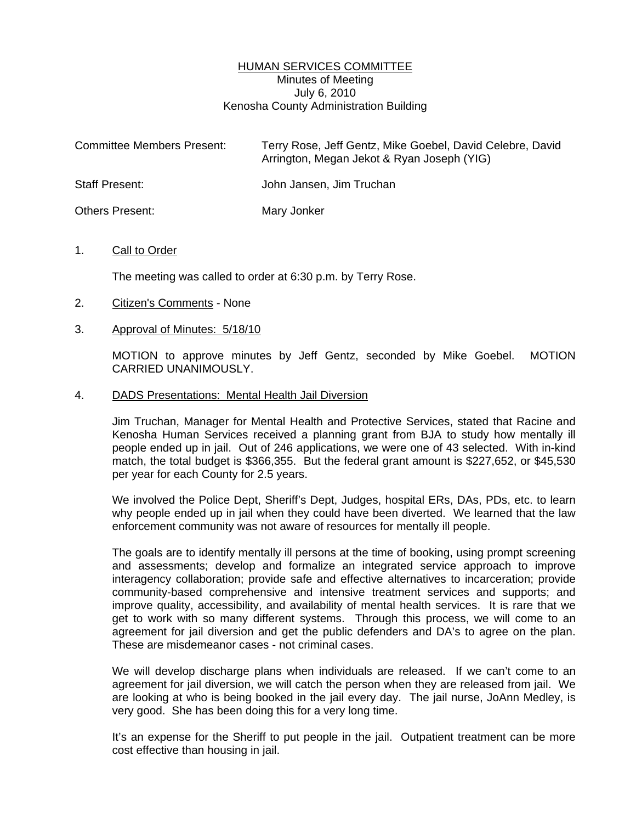## HUMAN SERVICES COMMITTEE Minutes of Meeting July 6, 2010 Kenosha County Administration Building

| <b>Committee Members Present:</b> | Terry Rose, Jeff Gentz, Mike Goebel, David Celebre, David<br>Arrington, Megan Jekot & Ryan Joseph (YIG) |
|-----------------------------------|---------------------------------------------------------------------------------------------------------|
| <b>Staff Present:</b>             | John Jansen, Jim Truchan                                                                                |
| Others Present:                   | Mary Jonker                                                                                             |

## 1. Call to Order

The meeting was called to order at 6:30 p.m. by Terry Rose.

- 2. Citizen's Comments None
- 3. Approval of Minutes: 5/18/10

 MOTION to approve minutes by Jeff Gentz, seconded by Mike Goebel. MOTION CARRIED UNANIMOUSLY.

#### 4. DADS Presentations: Mental Health Jail Diversion

 Jim Truchan, Manager for Mental Health and Protective Services, stated that Racine and Kenosha Human Services received a planning grant from BJA to study how mentally ill people ended up in jail. Out of 246 applications, we were one of 43 selected. With in-kind match, the total budget is \$366,355. But the federal grant amount is \$227,652, or \$45,530 per year for each County for 2.5 years.

 We involved the Police Dept, Sheriff's Dept, Judges, hospital ERs, DAs, PDs, etc. to learn why people ended up in jail when they could have been diverted. We learned that the law enforcement community was not aware of resources for mentally ill people.

 The goals are to identify mentally ill persons at the time of booking, using prompt screening and assessments; develop and formalize an integrated service approach to improve interagency collaboration; provide safe and effective alternatives to incarceration; provide community-based comprehensive and intensive treatment services and supports; and improve quality, accessibility, and availability of mental health services. It is rare that we get to work with so many different systems. Through this process, we will come to an agreement for jail diversion and get the public defenders and DA's to agree on the plan. These are misdemeanor cases - not criminal cases.

 We will develop discharge plans when individuals are released. If we can't come to an agreement for jail diversion, we will catch the person when they are released from jail. We are looking at who is being booked in the jail every day. The jail nurse, JoAnn Medley, is very good. She has been doing this for a very long time.

 It's an expense for the Sheriff to put people in the jail. Outpatient treatment can be more cost effective than housing in jail.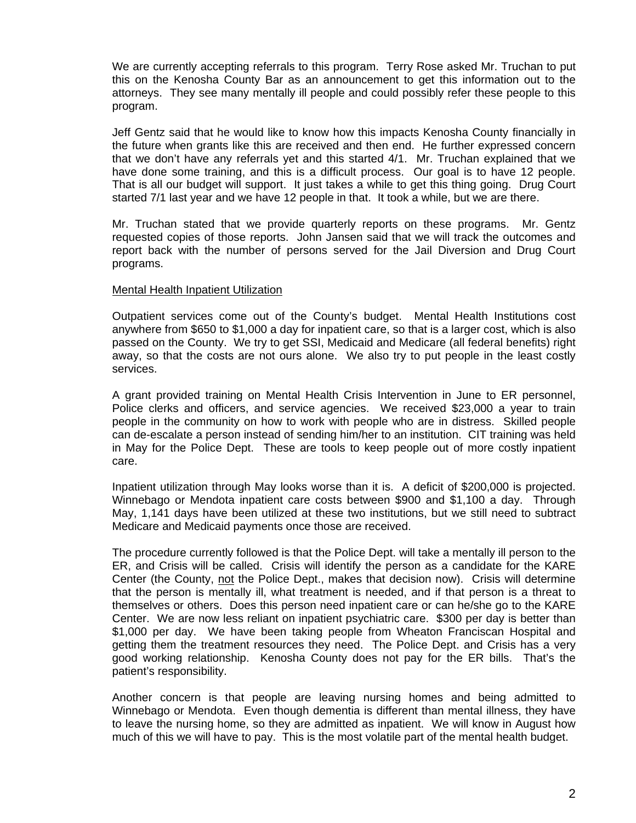We are currently accepting referrals to this program. Terry Rose asked Mr. Truchan to put this on the Kenosha County Bar as an announcement to get this information out to the attorneys. They see many mentally ill people and could possibly refer these people to this program.

 Jeff Gentz said that he would like to know how this impacts Kenosha County financially in the future when grants like this are received and then end. He further expressed concern that we don't have any referrals yet and this started 4/1. Mr. Truchan explained that we have done some training, and this is a difficult process. Our goal is to have 12 people. That is all our budget will support. It just takes a while to get this thing going. Drug Court started 7/1 last year and we have 12 people in that. It took a while, but we are there.

 Mr. Truchan stated that we provide quarterly reports on these programs. Mr. Gentz requested copies of those reports. John Jansen said that we will track the outcomes and report back with the number of persons served for the Jail Diversion and Drug Court programs.

## Mental Health Inpatient Utilization

 Outpatient services come out of the County's budget. Mental Health Institutions cost anywhere from \$650 to \$1,000 a day for inpatient care, so that is a larger cost, which is also passed on the County. We try to get SSI, Medicaid and Medicare (all federal benefits) right away, so that the costs are not ours alone. We also try to put people in the least costly services.

 A grant provided training on Mental Health Crisis Intervention in June to ER personnel, Police clerks and officers, and service agencies. We received \$23,000 a year to train people in the community on how to work with people who are in distress. Skilled people can de-escalate a person instead of sending him/her to an institution. CIT training was held in May for the Police Dept. These are tools to keep people out of more costly inpatient care.

 Inpatient utilization through May looks worse than it is. A deficit of \$200,000 is projected. Winnebago or Mendota inpatient care costs between \$900 and \$1,100 a day. Through May, 1,141 days have been utilized at these two institutions, but we still need to subtract Medicare and Medicaid payments once those are received.

 The procedure currently followed is that the Police Dept. will take a mentally ill person to the ER, and Crisis will be called. Crisis will identify the person as a candidate for the KARE Center (the County, not the Police Dept., makes that decision now). Crisis will determine that the person is mentally ill, what treatment is needed, and if that person is a threat to themselves or others. Does this person need inpatient care or can he/she go to the KARE Center. We are now less reliant on inpatient psychiatric care. \$300 per day is better than \$1,000 per day. We have been taking people from Wheaton Franciscan Hospital and getting them the treatment resources they need. The Police Dept. and Crisis has a very good working relationship. Kenosha County does not pay for the ER bills. That's the patient's responsibility.

 Another concern is that people are leaving nursing homes and being admitted to Winnebago or Mendota. Even though dementia is different than mental illness, they have to leave the nursing home, so they are admitted as inpatient. We will know in August how much of this we will have to pay. This is the most volatile part of the mental health budget.